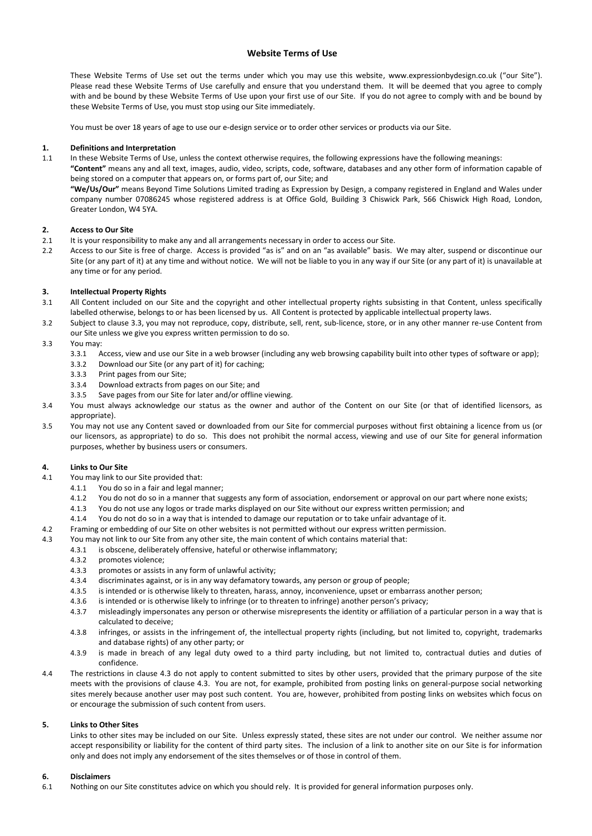## **Website Terms of Use**

These Website Terms of Use set out the terms under which you may use this website, www.expressionbydesign.co.uk ("our Site"). Please read these Website Terms of Use carefully and ensure that you understand them. It will be deemed that you agree to comply with and be bound by these Website Terms of Use upon your first use of our Site. If you do not agree to comply with and be bound by these Website Terms of Use, you must stop using our Site immediately.

You must be over 18 years of age to use our e-design service or to order other services or products via our Site.

### **1. Definitions and Interpretation**

1.1 In these Website Terms of Use, unless the context otherwise requires, the following expressions have the following meanings:

**"Content"** means any and all text, images, audio, video, scripts, code, software, databases and any other form of information capable of being stored on a computer that appears on, or forms part of, our Site; and

**"We/Us/Our"** means Beyond Time Solutions Limited trading as Expression by Design, a company registered in England and Wales under company number 07086245 whose registered address is at Office Gold, Building 3 Chiswick Park, 566 Chiswick High Road, London, Greater London, W4 5YA.

## **2. Access to Our Site**

- 2.1 It is your responsibility to make any and all arrangements necessary in order to access our Site.
- 2.2 Access to our Site is free of charge. Access is provided "as is" and on an "as available" basis. We may alter, suspend or discontinue our Site (or any part of it) at any time and without notice. We will not be liable to you in any way if our Site (or any part of it) is unavailable at any time or for any period.

# **3. Intellectual Property Rights**

- 3.1 All Content included on our Site and the copyright and other intellectual property rights subsisting in that Content, unless specifically labelled otherwise, belongs to or has been licensed by us. All Content is protected by applicable intellectual property laws.
- 3.2 Subject to clause 3.3, you may not reproduce, copy, distribute, sell, rent, sub-licence, store, or in any other manner re-use Content from our Site unless we give you express written permission to do so.
- 3.3 You may:
	- 3.3.1 Access, view and use our Site in a web browser (including any web browsing capability built into other types of software or app);
	- 3.3.2 Download our Site (or any part of it) for caching;
	- 3.3.3 Print pages from our Site;
	- 3.3.4 Download extracts from pages on our Site; and
	- 3.3.5 Save pages from our Site for later and/or offline viewing.
- 3.4 You must always acknowledge our status as the owner and author of the Content on our Site (or that of identified licensors, as appropriate).
- 3.5 You may not use any Content saved or downloaded from our Site for commercial purposes without first obtaining a licence from us (or our licensors, as appropriate) to do so. This does not prohibit the normal access, viewing and use of our Site for general information purposes, whether by business users or consumers.

### **4. Links to Our Site**

- 4.1 You may link to our Site provided that:
	- 4.1.1 You do so in a fair and legal manner;
	- 4.1.2 You do not do so in a manner that suggests any form of association, endorsement or approval on our part where none exists;
	- 4.1.3 You do not use any logos or trade marks displayed on our Site without our express written permission; and
	- 4.1.4 You do not do so in a way that is intended to damage our reputation or to take unfair advantage of it.
- 4.2 Framing or embedding of our Site on other websites is not permitted without our express written permission.
- 4.3 You may not link to our Site from any other site, the main content of which contains material that:
	- 4.3.1 is obscene, deliberately offensive, hateful or otherwise inflammatory;
		- 4.3.2 promotes violence;
		- 4.3.3 promotes or assists in any form of unlawful activity;
		- 4.3.4 discriminates against, or is in any way defamatory towards, any person or group of people;
		- 4.3.5 is intended or is otherwise likely to threaten, harass, annoy, inconvenience, upset or embarrass another person;
		- 4.3.6 is intended or is otherwise likely to infringe (or to threaten to infringe) another person's privacy;
		- 4.3.7 misleadingly impersonates any person or otherwise misrepresents the identity or affiliation of a particular person in a way that is calculated to deceive;
		- 4.3.8 infringes, or assists in the infringement of, the intellectual property rights (including, but not limited to, copyright, trademarks and database rights) of any other party; or
		- 4.3.9 is made in breach of any legal duty owed to a third party including, but not limited to, contractual duties and duties of confidence.
- 4.4 The restrictions in clause 4.3 do not apply to content submitted to sites by other users, provided that the primary purpose of the site meets with the provisions of clause 4.3. You are not, for example, prohibited from posting links on general-purpose social networking sites merely because another user may post such content. You are, however, prohibited from posting links on websites which focus on or encourage the submission of such content from users.

# **5. Links to Other Sites**

Links to other sites may be included on our Site. Unless expressly stated, these sites are not under our control. We neither assume nor accept responsibility or liability for the content of third party sites. The inclusion of a link to another site on our Site is for information only and does not imply any endorsement of the sites themselves or of those in control of them.

### **6. Disclaimers**

6.1 Nothing on our Site constitutes advice on which you should rely. It is provided for general information purposes only.